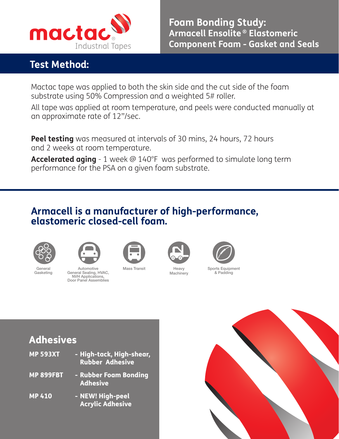

## **Test Method:**

**Foam Bonding Study: Armacell Ensolite ® Elastomeric Component Foam - Gasket and Seals**

Mactac tape was applied to both the skin side and the cut side of the foam substrate using 50% Compression and a weighted 5# roller.

All tape was applied at room temperature, and peels were conducted manually at an approximate rate of 12"/sec.

**Peel testing** was measured at intervals of 30 mins, 24 hours, 72 hours and 2 weeks at room temperature.

**Accelerated aging** - 1 week @ 140°F was performed to simulate long term performance for the PSA on a given foam substrate.

## **Armacell is a manufacturer of high-performance, elastomeric closed-cell foam.**



General Gasketing



Automotive General Sealing, HVAC, NVH Applications, Door Panel Assemblies







**Machinery** 



Sports Equipment & Padding

## Adhesives

| <b>MP 593XT</b>  | - High-tack, High-shear,<br><b>Rubber Adhesive</b> |
|------------------|----------------------------------------------------|
| <b>MP 899FBT</b> | - Rubber Foam Bonding<br><b>Adhesive</b>           |
| <b>MP 410</b>    | - NEW! High-peel<br><b>Acrylic Adhesive</b>        |